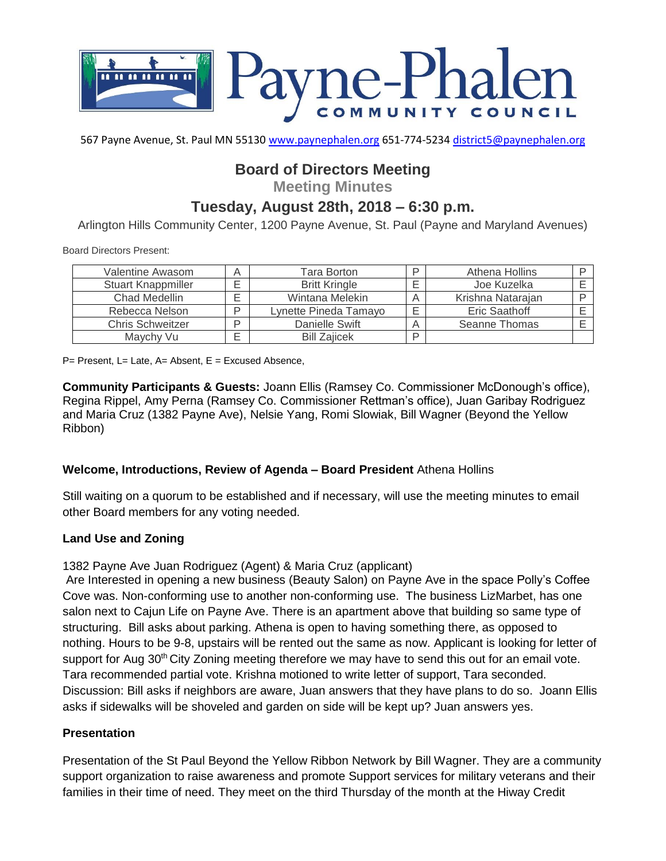

567 Payne Avenue, St. Paul MN 55130 [www.paynephalen.org](http://www.paynephalen.org/) 651-774-5234 [district5@paynephalen.org](mailto:district5@paynephalen.org)

# **Board of Directors Meeting**

**Meeting Minutes**

## **Tuesday, August 28th, 2018 – 6:30 p.m.**

Arlington Hills Community Center, 1200 Payne Avenue, St. Paul (Payne and Maryland Avenues)

Board Directors Present:

| Valentine Awasom        | Α | Tara Borton           | ח | Athena Hollins    |  |
|-------------------------|---|-----------------------|---|-------------------|--|
| Stuart Knappmiller      |   | <b>Britt Kringle</b>  |   | Joe Kuzelka       |  |
| <b>Chad Medellin</b>    |   | Wintana Melekin       |   | Krishna Natarajan |  |
| Rebecca Nelson          | D | Lynette Pineda Tamayo |   | Eric Saathoff     |  |
| <b>Chris Schweitzer</b> | D | Danielle Swift        |   | Seanne Thomas     |  |
| Maychy Vu               | - | <b>Bill Zaiicek</b>   | D |                   |  |

 $P=$  Present, L= Late, A= Absent, E = Excused Absence,

**Community Participants & Guests:** Joann Ellis (Ramsey Co. Commissioner McDonough's office), Regina Rippel, Amy Perna (Ramsey Co. Commissioner Rettman's office), Juan Garibay Rodriguez and Maria Cruz (1382 Payne Ave), Nelsie Yang, Romi Slowiak, Bill Wagner (Beyond the Yellow Ribbon)

## **Welcome, Introductions, Review of Agenda – Board President** Athena Hollins

Still waiting on a quorum to be established and if necessary, will use the meeting minutes to email other Board members for any voting needed.

#### **Land Use and Zoning**

1382 Payne Ave Juan Rodriguez (Agent) & Maria Cruz (applicant)

Are Interested in opening a new business (Beauty Salon) on Payne Ave in the space Polly's Coffee Cove was. Non-conforming use to another non-conforming use. The business LizMarbet, has one salon next to Cajun Life on Payne Ave. There is an apartment above that building so same type of structuring. Bill asks about parking. Athena is open to having something there, as opposed to nothing. Hours to be 9-8, upstairs will be rented out the same as now. Applicant is looking for letter of support for Aug  $30<sup>th</sup>$  City Zoning meeting therefore we may have to send this out for an email vote. Tara recommended partial vote. Krishna motioned to write letter of support, Tara seconded. Discussion: Bill asks if neighbors are aware, Juan answers that they have plans to do so. Joann Ellis asks if sidewalks will be shoveled and garden on side will be kept up? Juan answers yes.

#### **Presentation**

Presentation of the St Paul Beyond the Yellow Ribbon Network by Bill Wagner. They are a community support organization to raise awareness and promote Support services for military veterans and their families in their time of need. They meet on the third Thursday of the month at the Hiway Credit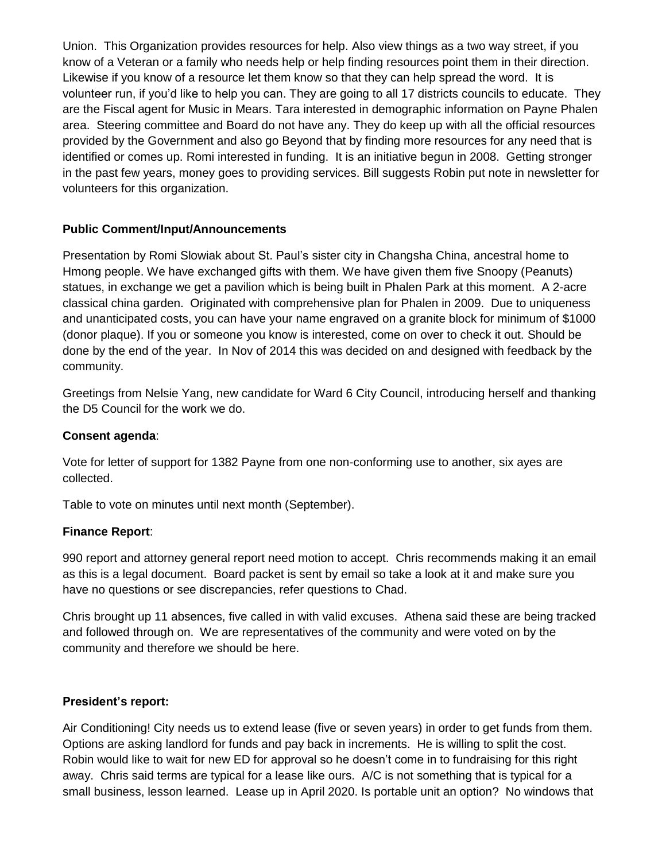Union. This Organization provides resources for help. Also view things as a two way street, if you know of a Veteran or a family who needs help or help finding resources point them in their direction. Likewise if you know of a resource let them know so that they can help spread the word. It is volunteer run, if you'd like to help you can. They are going to all 17 districts councils to educate. They are the Fiscal agent for Music in Mears. Tara interested in demographic information on Payne Phalen area. Steering committee and Board do not have any. They do keep up with all the official resources provided by the Government and also go Beyond that by finding more resources for any need that is identified or comes up. Romi interested in funding. It is an initiative begun in 2008. Getting stronger in the past few years, money goes to providing services. Bill suggests Robin put note in newsletter for volunteers for this organization.

## **Public Comment/Input/Announcements**

Presentation by Romi Slowiak about St. Paul's sister city in Changsha China, ancestral home to Hmong people. We have exchanged gifts with them. We have given them five Snoopy (Peanuts) statues, in exchange we get a pavilion which is being built in Phalen Park at this moment. A 2-acre classical china garden. Originated with comprehensive plan for Phalen in 2009. Due to uniqueness and unanticipated costs, you can have your name engraved on a granite block for minimum of \$1000 (donor plaque). If you or someone you know is interested, come on over to check it out. Should be done by the end of the year. In Nov of 2014 this was decided on and designed with feedback by the community.

Greetings from Nelsie Yang, new candidate for Ward 6 City Council, introducing herself and thanking the D5 Council for the work we do.

## **Consent agenda**:

Vote for letter of support for 1382 Payne from one non-conforming use to another, six ayes are collected.

Table to vote on minutes until next month (September).

## **Finance Report**:

990 report and attorney general report need motion to accept. Chris recommends making it an email as this is a legal document. Board packet is sent by email so take a look at it and make sure you have no questions or see discrepancies, refer questions to Chad.

Chris brought up 11 absences, five called in with valid excuses. Athena said these are being tracked and followed through on. We are representatives of the community and were voted on by the community and therefore we should be here.

## **President's report:**

Air Conditioning! City needs us to extend lease (five or seven years) in order to get funds from them. Options are asking landlord for funds and pay back in increments. He is willing to split the cost. Robin would like to wait for new ED for approval so he doesn't come in to fundraising for this right away. Chris said terms are typical for a lease like ours. A/C is not something that is typical for a small business, lesson learned. Lease up in April 2020. Is portable unit an option? No windows that